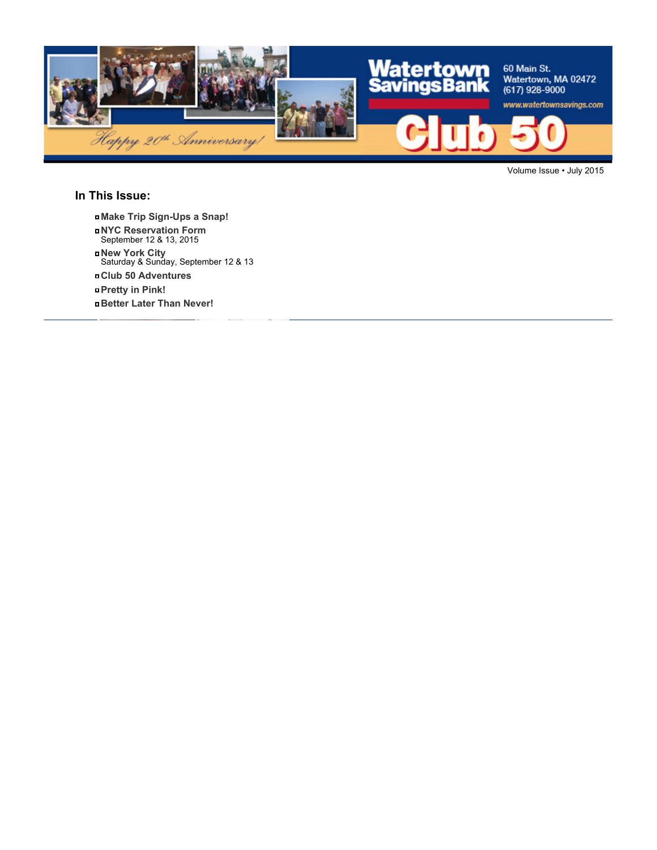

Volume Issue • July 2015

#### **In This Issue:**

- **Make Trip Sign-Ups a Snap!**
- **NYC Reservation Form** September 12 & 13, 2015
- **New York City** Saturday & Sunday, September 12 & 13
- **Club 50 Adventures**
- **Pretty in Pink!**
- **Better Later Than Never!**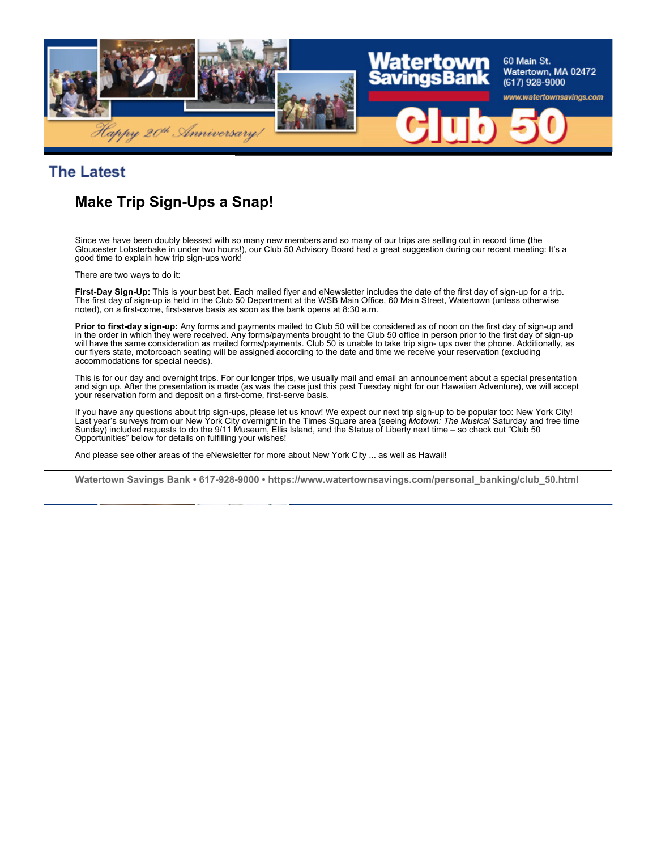

**The Latest** 

# **Make Trip Sign-Ups a Snap!**

Since we have been doubly blessed with so many new members and so many of our trips are selling out in record time (the Gloucester Lobsterbake in under two hours!), our Club 50 Advisory Board had a great suggestion during our recent meeting: It's a good time to explain how trip sign-ups work!

There are two ways to do it:

**First-Day Sign-Up:** This is your best bet. Each mailed flyer and eNewsletter includes the date of the first day of sign-up for a trip. The first day of sign-up is held in the Club 50 Department at the WSB Main Office, 60 Main Street, Watertown (unless otherwise noted), on a first-come, first-serve basis as soon as the bank opens at 8:30 a.m.

**Prior to first-day sign-up:** Any forms and payments mailed to Club 50 will be considered as of noon on the first day of sign-up and in the order in which they were received. Any forms/payments brought to the Club 50 office in person prior to the first day of sign-up will have the same consideration as mailed forms/payments. Club 50 is unable to take trip sign- ups over the phone. Additionally, as our flyers state, motorcoach seating will be assigned according to the date and time we receive your reservation (excluding accommodations for special needs).

This is for our day and overnight trips. For our longer trips, we usually mail and email an announcement about a special presentation and sign up. After the presentation is made (as was the case just this past Tuesday night for our Hawaiian Adventure), we will accept your reservation form and deposit on a first-come, first-serve basis.

If you have any questions about trip sign-ups, please let us know! We expect our next trip sign-up to be popular too: New York City! Last year's surveys from our New York City overnight in the Times Square area (seeing *Motown: The Musical* Saturday and free time Sunday) included requests to do the 9/11 Museum, Ellis Island, and the Statue of Liberty next time – so check out "Club 50 Opportunities" below for details on fulfilling your wishes!

And please see other areas of the eNewsletter for more about New York City ... as well as Hawaii!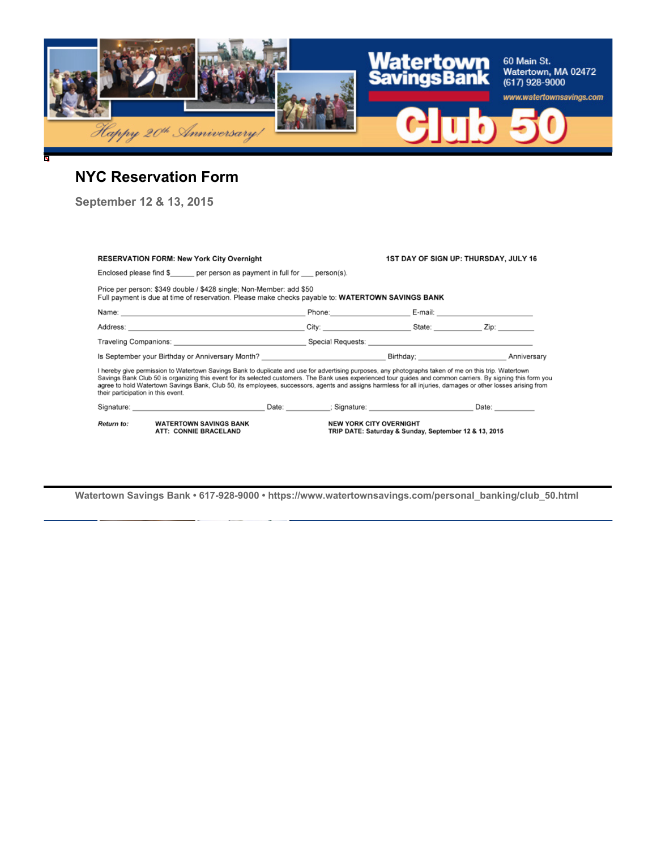

# **NYC Reservation Form**

**September 12 & 13, 2015**

| <b>RESERVATION FORM: New York City Overnight</b>                                                                                                                                                                               |                                                                                                                                                                                                                                                                                                                                                                                                                                                                                        |  |                                                                                         | 1ST DAY OF SIGN UP: THURSDAY, JULY 16                                                                                                                                                                                          |  |
|--------------------------------------------------------------------------------------------------------------------------------------------------------------------------------------------------------------------------------|----------------------------------------------------------------------------------------------------------------------------------------------------------------------------------------------------------------------------------------------------------------------------------------------------------------------------------------------------------------------------------------------------------------------------------------------------------------------------------------|--|-----------------------------------------------------------------------------------------|--------------------------------------------------------------------------------------------------------------------------------------------------------------------------------------------------------------------------------|--|
|                                                                                                                                                                                                                                | Enclosed please find $\frac{1}{2}$ per person as payment in full for person(s).                                                                                                                                                                                                                                                                                                                                                                                                        |  |                                                                                         |                                                                                                                                                                                                                                |  |
|                                                                                                                                                                                                                                | Price per person: \$349 double / \$428 single; Non-Member: add \$50<br>Full payment is due at time of reservation. Please make checks payable to: WATERTOWN SAVINGS BANK                                                                                                                                                                                                                                                                                                               |  |                                                                                         |                                                                                                                                                                                                                                |  |
|                                                                                                                                                                                                                                |                                                                                                                                                                                                                                                                                                                                                                                                                                                                                        |  |                                                                                         | Phone: E-mail: E-mail: E-mail: E-mail: E-mail: E-mail: E-mail: E-mail: E-mail: E-mail: E-mail: E-mail: E-mail: E-mail: E-mail: E-mail: E-mail: E-mail: E-mail: E-mail: E-mail: E-mail: E-mail: E-mail: E-mail: E-mail: E-mail: |  |
|                                                                                                                                                                                                                                |                                                                                                                                                                                                                                                                                                                                                                                                                                                                                        |  |                                                                                         | City: City: City:                                                                                                                                                                                                              |  |
| Traveling Companions: etc. All and the second second Special Requests: etc. All and the second second second second second second second second second second second second second second second second second second second s |                                                                                                                                                                                                                                                                                                                                                                                                                                                                                        |  |                                                                                         |                                                                                                                                                                                                                                |  |
|                                                                                                                                                                                                                                |                                                                                                                                                                                                                                                                                                                                                                                                                                                                                        |  |                                                                                         |                                                                                                                                                                                                                                |  |
| their participation in this event.                                                                                                                                                                                             | I hereby give permission to Watertown Savings Bank to duplicate and use for advertising purposes, any photographs taken of me on this trip. Watertown<br>Savings Bank Club 50 is organizing this event for its selected customers. The Bank uses experienced tour guides and common carriers. By signing this form you<br>agree to hold Watertown Savings Bank, Club 50, its employees, successors, agents and assigns harmless for all injuries, damages or other losses arising from |  |                                                                                         |                                                                                                                                                                                                                                |  |
|                                                                                                                                                                                                                                | Signature: Date: Date: Signature: Date: Signature: Date: Date: Date: Date: Date: Date: Date: Date: Date: Date: Date: Date: Date: Date: Date: Date: Date: Date: Date: Date: Date: Date: Date: Date: Date: Date: Date: Date: Dat                                                                                                                                                                                                                                                         |  |                                                                                         |                                                                                                                                                                                                                                |  |
| <b>Return to:</b>                                                                                                                                                                                                              | <b>WATERTOWN SAVINGS BANK</b><br>ATT: CONNIE BRACELAND                                                                                                                                                                                                                                                                                                                                                                                                                                 |  | <b>NEW YORK CITY OVERNIGHT</b><br>TRIP DATE: Saturday & Sunday, September 12 & 13, 2015 |                                                                                                                                                                                                                                |  |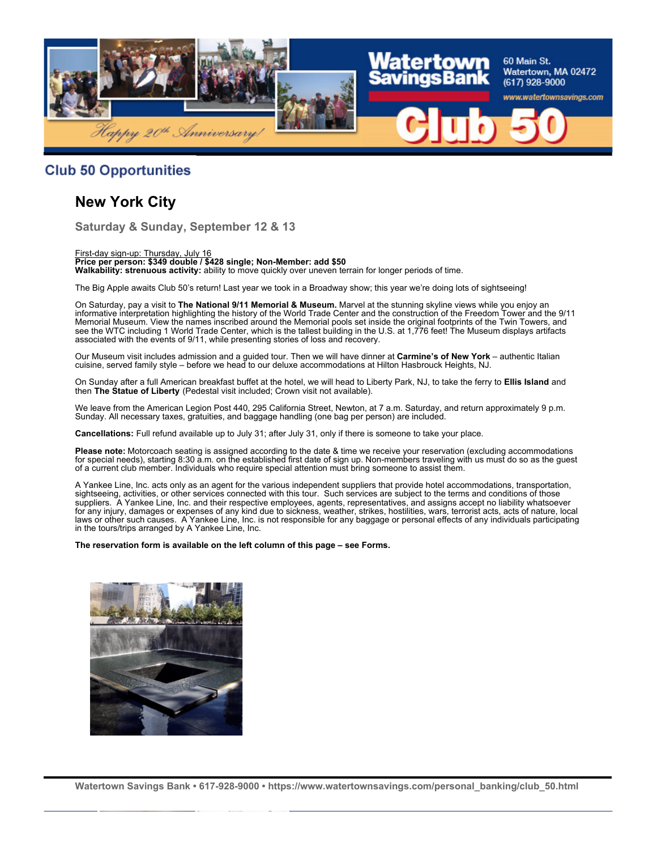

### **Club 50 Opportunities**

### **New York City**

**Saturday & Sunday, September 12 & 13**

First-day sign-up: Thursday, July 16 **Price per person: \$349 double / \$428 single; Non-Member: add \$50 Walkability: strenuous activity:** ability to move quickly over uneven terrain for longer periods of time.

The Big Apple awaits Club 50's return! Last year we took in a Broadway show; this year we're doing lots of sightseeing!

On Saturday, pay a visit to **The National 9/11 Memorial & Museum.** Marvel at the stunning skyline views while you enjoy an informative interpretation highlighting the history of the World Trade Center and the construction of the Freedom Tower and the 9/11 Memorial Museum. View the names inscribed around the Memorial pools set inside the original footprints of the Twin Towers, and see the WTC including 1 World Trade Center, which is the tallest building in the U.S. at 1,776 feet! The Museum displays artifacts associated with the events of 9/11, while presenting stories of loss and recovery.

Our Museum visit includes admission and a guided tour. Then we will have dinner at **Carmine's of New York** – authentic Italian cuisine, served family style – before we head to our deluxe accommodations at Hilton Hasbrouck Heights, NJ.

On Sunday after a full American breakfast buffet at the hotel, we will head to Liberty Park, NJ, to take the ferry to **Ellis Island** and then **The Statue of Liberty** (Pedestal visit included; Crown visit not available).

We leave from the American Legion Post 440, 295 California Street, Newton, at 7 a.m. Saturday, and return approximately 9 p.m. Sunday. All necessary taxes, gratuities, and baggage handling (one bag per person) are included.

**Cancellations:** Full refund available up to July 31; after July 31, only if there is someone to take your place.

**Please note:** Motorcoach seating is assigned according to the date & time we receive your reservation (excluding accommodations for special needs), starting 8:30 a.m. on the established first date of sign up. Non-members traveling with us must do so as the guest of a current club member. Individuals who require special attention must bring someone to assist them.

A Yankee Line, Inc. acts only as an agent for the various independent suppliers that provide hotel accommodations, transportation, sightseeing, activities, or other services connected with this tour. Such services are subject to the terms and conditions of those suppliers. A Yankee Line, Inc. and their respective employees, agents, representatives, and assigns accept no liability whatsoever for any injury, damages or expenses of any kind due to sickness, weather, strikes, hostilities, wars, terrorist acts, acts of nature, local laws or other such causes. A Yankee Line, Inc. is not responsible for any baggage or personal effects of any individuals participating in the tours/trips arranged by A Yankee Line, Inc.

**The reservation form is available on the left column of this page – see Forms.**

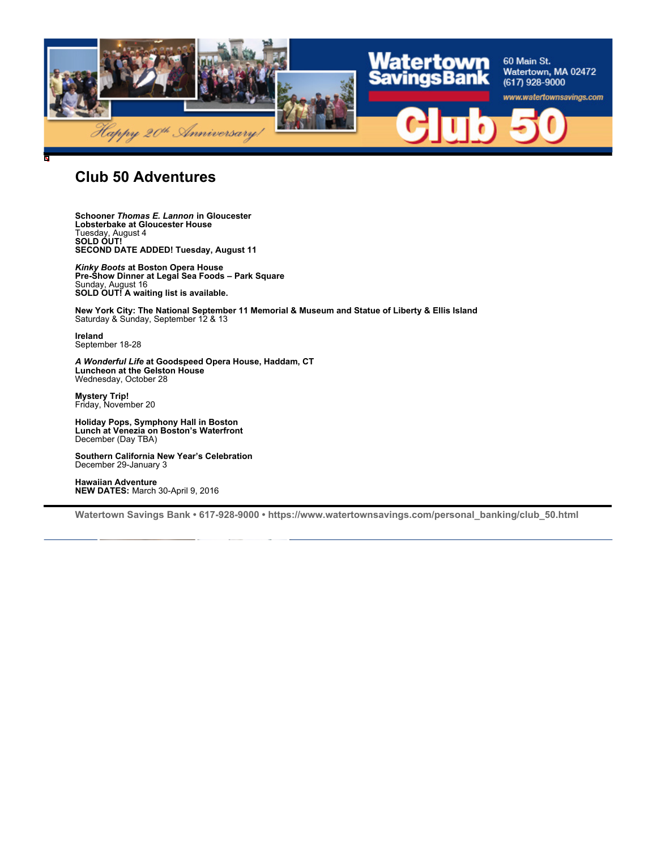

### **Club 50 Adventures**

**Schooner** *Thomas E. Lannon* **in Gloucester Lobsterbake at Gloucester House** Tuesday, August 4 **SOLD OUT! SECOND DATE ADDED! Tuesday, August 11**

*Kinky Boots* **at Boston Opera House Pre-Show Dinner at Legal Sea Foods – Park Square** Sunday, August 16 **SOLD OUT! A waiting list is available.**

**New York City: The National September 11 Memorial & Museum and Statue of Liberty & Ellis Island** Saturday & Sunday, September 12 & 13

**Ireland** September 18-28

*A Wonderful Life* **at Goodspeed Opera House, Haddam, CT Luncheon at the Gelston House** Wednesday, October 28

**Mystery Trip!** Friday, November 20

**Holiday Pops, Symphony Hall in Boston Lunch at Venezia on Boston's Waterfront** December (Day TBA)

**Southern California New Year's Celebration** December 29-January 3

**Hawaiian Adventure NEW DATES:** March 30-April 9, 2016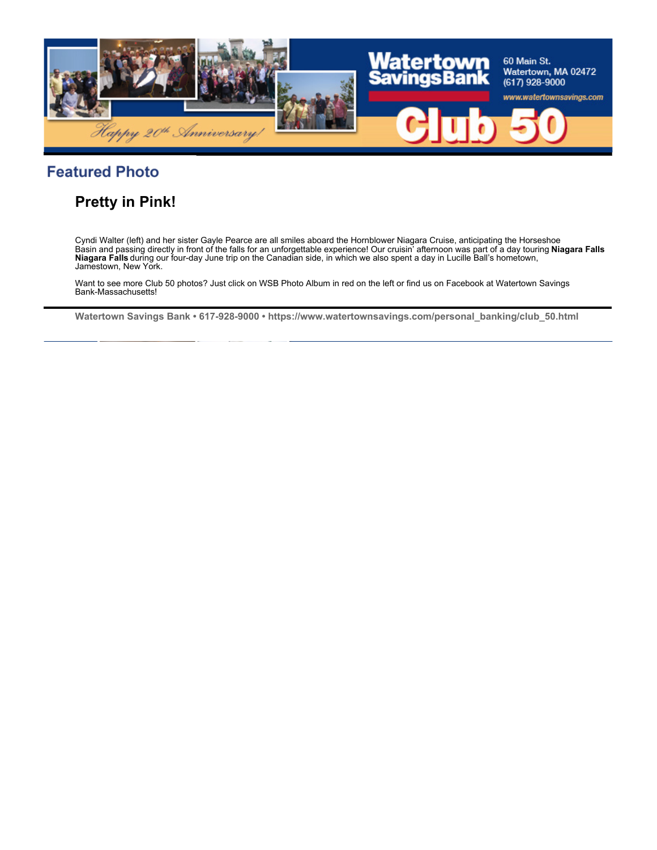

## **Featured Photo**

## **Pretty in Pink!**

Cyndi Walter (left) and her sister Gayle Pearce are all smiles aboard the Hornblower Niagara Cruise, anticipating the Horseshoe Basin and passing directly in front of the falls for an unforgettable experience! Our cruisin' afternoon was part of a day touring **Niagara Falls Niagara Falls** during our four-day June trip on the Canadian side, in which we also spent a day in Lucille Ball's hometown, Jamestown, New York.

Want to see more Club 50 photos? Just click on WSB Photo Album in red on the left or find us on Facebook at Watertown Savings Bank-Massachusetts!